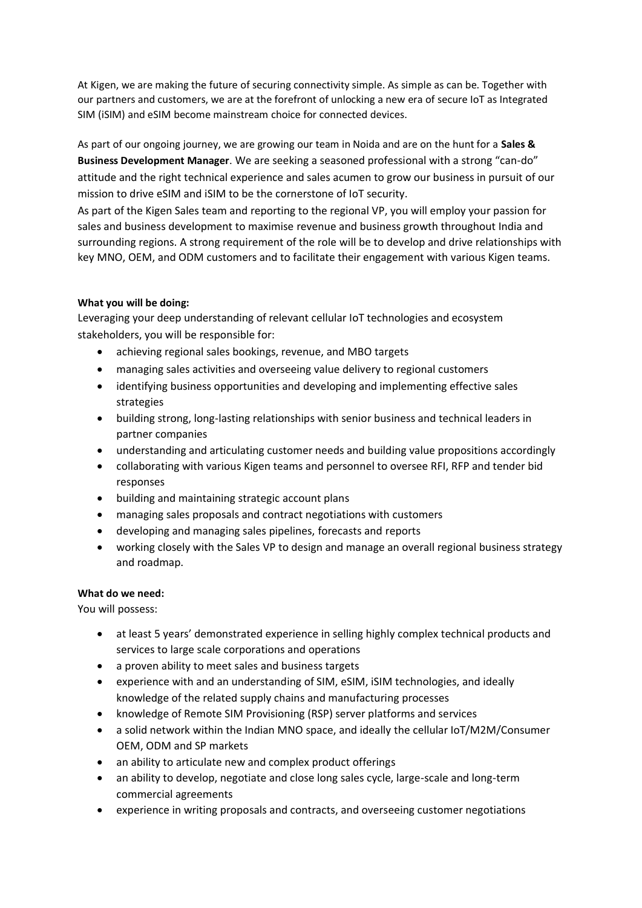At Kigen, we are making the future of securing connectivity simple. As simple as can be. Together with our partners and customers, we are at the forefront of unlocking a new era of secure IoT as Integrated SIM (iSIM) and eSIM become mainstream choice for connected devices.

As part of our ongoing journey, we are growing our team in Noida and are on the hunt for a **Sales & Business Development Manager**. We are seeking a seasoned professional with a strong "can-do" attitude and the right technical experience and sales acumen to grow our business in pursuit of our mission to drive eSIM and iSIM to be the cornerstone of IoT security.

As part of the Kigen Sales team and reporting to the regional VP, you will employ your passion for sales and business development to maximise revenue and business growth throughout India and surrounding regions. A strong requirement of the role will be to develop and drive relationships with key MNO, OEM, and ODM customers and to facilitate their engagement with various Kigen teams.

## **What you will be doing:**

Leveraging your deep understanding of relevant cellular IoT technologies and ecosystem stakeholders, you will be responsible for:

- achieving regional sales bookings, revenue, and MBO targets
- managing sales activities and overseeing value delivery to regional customers
- identifying business opportunities and developing and implementing effective sales strategies
- building strong, long-lasting relationships with senior business and technical leaders in partner companies
- understanding and articulating customer needs and building value propositions accordingly
- collaborating with various Kigen teams and personnel to oversee RFI, RFP and tender bid responses
- building and maintaining strategic account plans
- managing sales proposals and contract negotiations with customers
- developing and managing sales pipelines, forecasts and reports
- working closely with the Sales VP to design and manage an overall regional business strategy and roadmap.

## **What do we need:**

You will possess:

- at least 5 years' demonstrated experience in selling highly complex technical products and services to large scale corporations and operations
- a proven ability to meet sales and business targets
- experience with and an understanding of SIM, eSIM, iSIM technologies, and ideally knowledge of the related supply chains and manufacturing processes
- knowledge of Remote SIM Provisioning (RSP) server platforms and services
- a solid network within the Indian MNO space, and ideally the cellular IoT/M2M/Consumer OEM, ODM and SP markets
- an ability to articulate new and complex product offerings
- an ability to develop, negotiate and close long sales cycle, large-scale and long-term commercial agreements
- experience in writing proposals and contracts, and overseeing customer negotiations